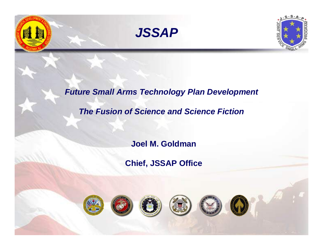



### *Future Small Arms Technology Plan Development*

## *The Fusion of Science and Science Fiction*

**Joel M. Goldman**

**Chief, JSSAP Office**









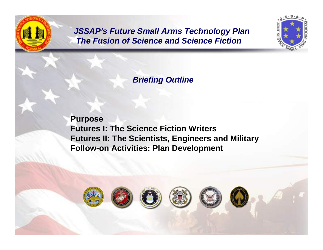

*JSSAP's Future Small Arms Technology Plan The Fusion of Science and Science Fiction*



*Briefing Outline*

**Purpose Futures I: The Science Fiction Writers Futures II: The Scientists, Engineers and Military Follow-on Activities: Plan Development**

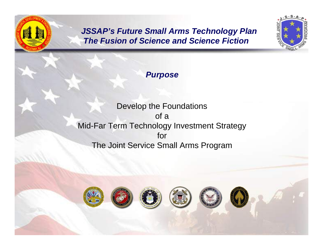

*JSSAP's Future Small Arms Technology Plan The Fusion of Science and Science Fiction*



*Purpose*

### Develop the Foundations of aMid-Far Term Technology Investment Strategy forThe Joint Service Small Arms Program

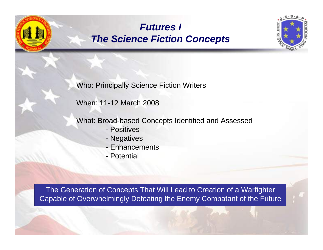

Who: Principally Science Fiction Writers

When: 11-12 March 2008

What: Broad-based Concepts Identified and Assessed

- Positives
- Negatives
- Enhancements
- Potential

The Generation of Concepts That Will Lead to Creation of a Warfighter Capable of Overwhelmingly Defeating the Enemy Combatant of the Future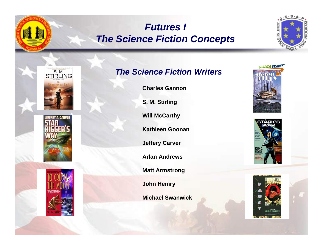





*The Science Fiction Writers*

**Charles Gannon**

**S. M. Stirling**

**Will McCarthy**

**Kathleen Goonan**

**Jeffery Carver**

**Arlan Andrews**

**Matt Armstrong**

**John Hemry**

**Michael Swanwick**





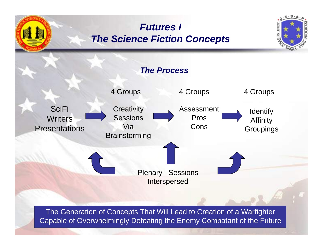



The Generation of Concepts That Will Lead to Creation of a Warfighter Capable of Overwhelmingly Defeating the Enemy Combatant of the Future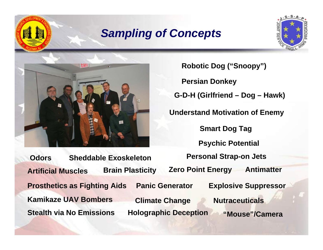# *Sampling of Concepts*



**Robotic Dog ("Snoopy")**

**Persian Donkey**

**G-D-H (Girlfriend – Dog – Hawk)**

**Understand Motivation of Enemy**

**Smart Dog Tag**

**Psychic Potential**

**"Mouse"/CameraOdorsSheddable ExoskeletonArtificial Muscles Prosthetics as Fighting Aids Brain Plasticity Zero Point Energy Antimatter Kamikaze UAV BombersPanic Generator Explosive Suppressor Stealth via No EmissionsClimate Change Nutraceuticals Holographic Deception Personal Strap-on Jets**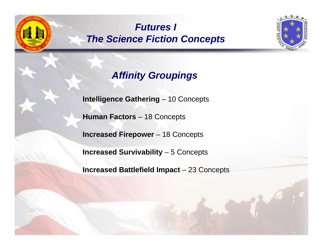

*Affinity Groupings*

**Intelligence Gathering** – 10 Concepts

**Human Factors** – 18 Concepts

**Increased Firepower** – 18 Concepts

**Increased Survivability** – 5 Concepts

**Increased Battlefield Impact** – 23 Concepts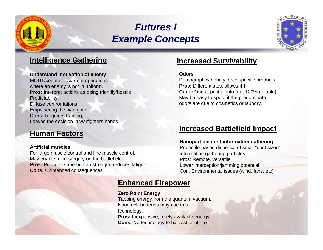## *Futures I Example Concepts*



#### **Understand motivation of enemy**

MOUT/counter-insurgent operations where an enemy is not in uniform. **Pros:** Interpret actions as being friendly/hostile. Predictability, Diffuse confrontations, Empowering the warfighter **Cons:** Requires training, Leaves the decision in warfighters hands

#### **Human Factors**

#### **Artificial muscles**

For large muscle control and fine muscle control. May enable microsurgery on the battlefield **Pros:** Provides superhuman strength, reduces fatigue **Cons:** Unintended consequences

#### **Intelligence Gathering Increased Survivability**

#### **Odors**

Demographic/friendly force specific products **Pros:** Differentiates, allows IFF **Cons:** One aspect of info (not 100% reliable) May be easy to spoof if the predominate odors are due to cosmetics or laundry.

### **Increased Battlefield Impact**

#### **Nanoparticle dust information gathering**

Projectile-based dispersal of small "dust sized" information gathering particles. Pros: Remote, versatile Lower interception/jamming potential Con: Environmental issues (wind, fans, etc)

#### **Enhanced Firepower**

#### **Zero Point Energy**

Tapping energy from the quantum vacuum. Nanotech batteries may use this technology.

**Pros:** Inexpensive, freely available energy **Cons:** No technology to harvest or utilize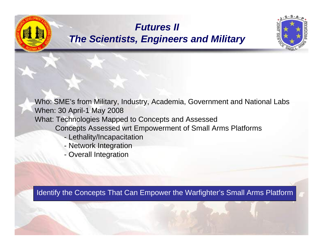## *Futures II The Scientists, Engineers and Military*



Who: SME's from Military, Industry, Academia, Government and National Labs When: 30 April-1 May 2008 What: Technologies Mapped to Concepts and Assessed Concepts Assessed wrt Empowerment of Small Arms Platforms

- Lethality/Incapacitation
- Network Integration
- Overall Integration

Identify the Concepts That Can Empower the Warfighter's Small Arms Platform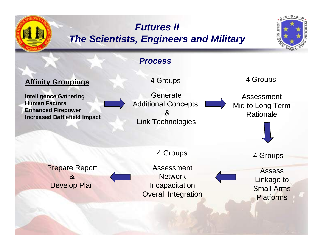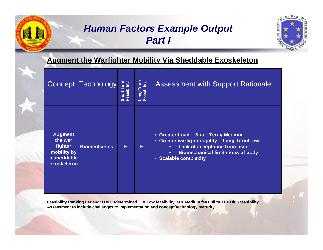## *Human Factors Example Output Part I*



### **Augment the Warfighter Mobility Via Sheddable Exoskeleton**

|                                                                                   | <b>Concept Technology</b> | Term<br>Feasibility<br>Short <sup>-</sup> | Long Term<br>Feasibility | <b>Assessment with Support Rationale</b>                                                                                                                                                                           |
|-----------------------------------------------------------------------------------|---------------------------|-------------------------------------------|--------------------------|--------------------------------------------------------------------------------------------------------------------------------------------------------------------------------------------------------------------|
| <b>Augment</b><br>the war<br>fighter<br>mobility by<br>a sheddable<br>exoskeleton | <b>Biomechanics</b>       | H                                         | н                        | • Greater Load - Short Term/ Medium<br>• Greater warfighter agility - Long Term/Low<br>Lack of acceptance from user<br>$\bullet$<br><b>Biomechanical limitations of body</b><br>$\bullet$<br>• Scalable complexity |

**Feasibility Ranking Legend: U = Undetermined, L = Low feasibility, M = Medium feasibility, H = High feasibility Assessment to include challenges to implementation and concept/technology maturity**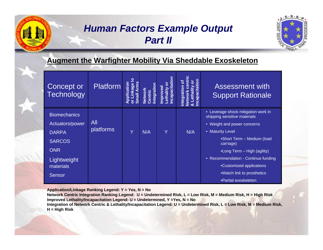## *Human Factors Example Output Part II*



### **Augment the Warfighter Mobility Via Sheddable Exoskeleton**

| Concept or<br><b>Technology</b> | Platform  | cation<br><u>ဗ</u><br><b>Small</b> | ntegratio<br><b>Vetwor</b><br>Centric | ncapacitation<br>ō<br>mproved<br>ethality | pacitation<br>E<br>ঌ<br>$\circ$<br>ntegration<br>ethal<br><b>Network</b> | <b>Assessment with</b><br><b>Support Rationale</b>                  |
|---------------------------------|-----------|------------------------------------|---------------------------------------|-------------------------------------------|--------------------------------------------------------------------------|---------------------------------------------------------------------|
| <b>Biomechanics</b>             |           |                                    |                                       |                                           |                                                                          | • Leverage shock mitigation work in<br>shipping sensitive materials |
| Actuators/power                 | All       | Y                                  | N/A                                   | Y                                         | N/A                                                                      | • Weight and power concerns                                         |
| <b>DARPA</b>                    | platforms |                                    |                                       |                                           |                                                                          | • Maturity Level                                                    |
| <b>SARCOS</b>                   |           |                                    |                                       |                                           |                                                                          | •Short Term - Medium (load<br>carriage)                             |
| <b>ONR</b>                      |           |                                    |                                       |                                           |                                                                          | •Long Term - High (agility)                                         |
| Lightweight                     |           |                                    |                                       |                                           |                                                                          | Recommendation - Continue funding<br>٠                              |
| materials                       |           |                                    |                                       |                                           |                                                                          | •Customized applications                                            |
| Sensor                          |           |                                    |                                       |                                           |                                                                          | •Watch link to prosthetics                                          |
|                                 |           |                                    |                                       |                                           |                                                                          | •Partial exoskeleton                                                |

**Application/Linkage Ranking Legend: Y = Yes, N = No**

**Network Centric Integration Ranking Legend: U = Undetermined Risk, L = Low Risk, M = Medium Risk, H = High Risk Improved Lethality/Incapacitation Legend: U = Undetermined, Y =Yes, N = No Integration of Network Centric & Lethality/Incapacitation Legend: U = Undetermined Risk, L = Low Risk, M = Medium Risk, H = High Risk**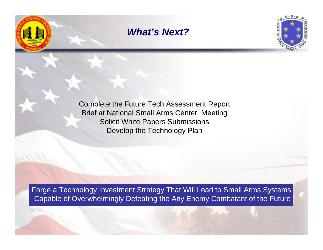*What's Next?*

Complete the Future Tech Assessment Report Brief at National Small Arms Center Meeting Solicit White Papers Submissions Develop the Technology Plan

Forge a Technology Investment Strategy That Will Lead to Small Arms Systems Capable of Overwhelmingly Defeating the Any Enemy Combatant of the Future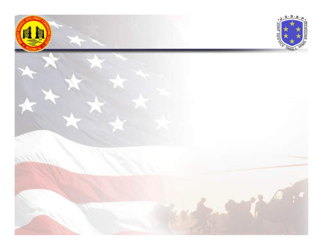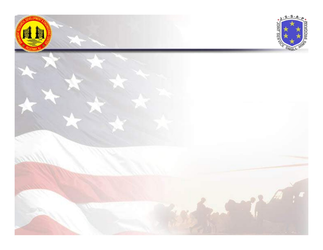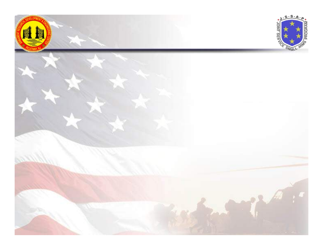